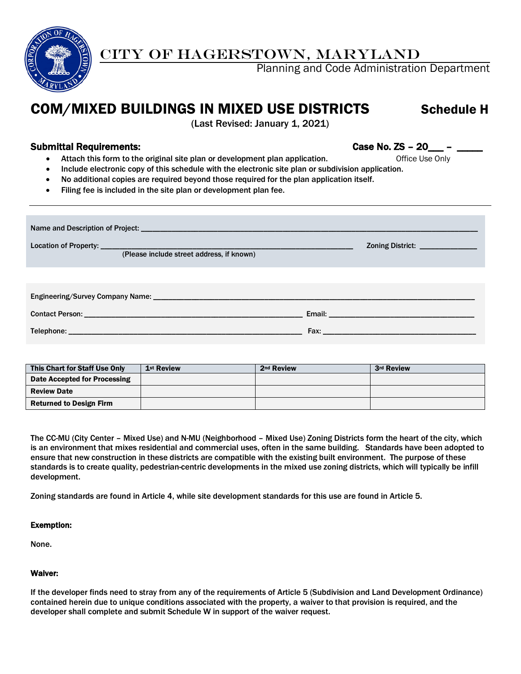

## CITY OF HAGERSTOWN, MARYLAND

Planning and Code Administration Department

# COM/MIXED BUILDINGS IN MIXED USE DISTRICTS Schedule H

(Last Revised: January 1, 2021)

### Submittal Requirements: Submittal Requirements: Case No. ZS - 20\_\_\_ - \_\_\_\_

- Attach this form to the original site plan or development plan application. The office Use Only
- Include electronic copy of this schedule with the electronic site plan or subdivision application.
- No additional copies are required beyond those required for the plan application itself.
- Filing fee is included in the site plan or development plan fee.

| (Please include street address, if known) | Zoning District: _______________ |  |  |  |  |  |  |  |
|-------------------------------------------|----------------------------------|--|--|--|--|--|--|--|
|                                           |                                  |  |  |  |  |  |  |  |
|                                           |                                  |  |  |  |  |  |  |  |
|                                           |                                  |  |  |  |  |  |  |  |
|                                           |                                  |  |  |  |  |  |  |  |

| This Chart for Staff Use Only  | 1 <sup>st</sup> Review | 2 <sup>nd</sup> Review | 3rd Review |
|--------------------------------|------------------------|------------------------|------------|
| Date Accepted for Processing   |                        |                        |            |
| <b>Review Date</b>             |                        |                        |            |
| <b>Returned to Design Firm</b> |                        |                        |            |

The CC-MU (City Center – Mixed Use) and N-MU (Neighborhood – Mixed Use) Zoning Districts form the heart of the city, which is an environment that mixes residential and commercial uses, often in the same building. Standards have been adopted to ensure that new construction in these districts are compatible with the existing built environment. The purpose of these standards is to create quality, pedestrian-centric developments in the mixed use zoning districts, which will typically be infill development.

Zoning standards are found in Article 4, while site development standards for this use are found in Article 5.

#### Exemption:

None.

#### Waiver:

If the developer finds need to stray from any of the requirements of Article 5 (Subdivision and Land Development Ordinance) contained herein due to unique conditions associated with the property, a waiver to that provision is required, and the developer shall complete and submit Schedule W in support of the waiver request.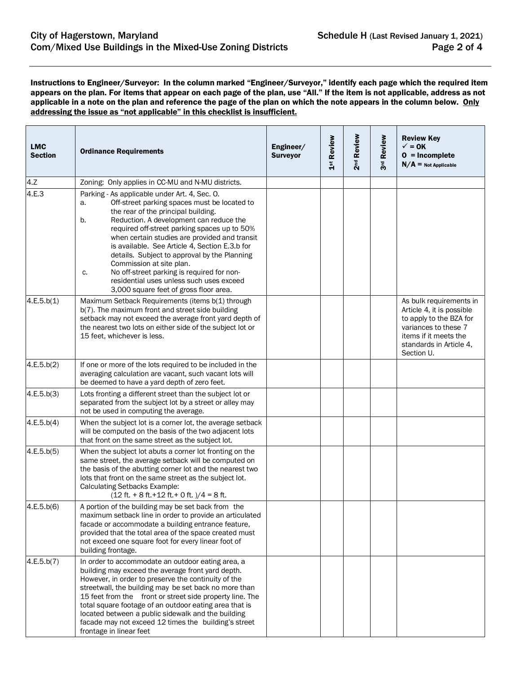Instructions to Engineer/Surveyor: In the column marked "Engineer/Surveyor," identify each page which the required item appears on the plan. For items that appear on each page of the plan, use "All." If the item is not applicable, address as not applicable in a note on the plan and reference the page of the plan on which the note appears in the column below. Only addressing the issue as "not applicable" in this checklist is insufficient.

| <b>LMC</b><br><b>Section</b> | <b>Ordinance Requirements</b>                                                                                                                                                                                                                                                                                                                                                                                                                                                                                                                                        | Engineer/<br><b>Surveyor</b> | 1 <sup>st</sup> Review | 2 <sup>nd</sup> Review | 3rd Review | <b>Review Key</b><br>$\checkmark$ = 0K<br>$0 = Incomplete$<br>$N/A$ = Not Applicable                                                                                      |
|------------------------------|----------------------------------------------------------------------------------------------------------------------------------------------------------------------------------------------------------------------------------------------------------------------------------------------------------------------------------------------------------------------------------------------------------------------------------------------------------------------------------------------------------------------------------------------------------------------|------------------------------|------------------------|------------------------|------------|---------------------------------------------------------------------------------------------------------------------------------------------------------------------------|
| 4.Z                          | Zoning: Only applies in CC-MU and N-MU districts.                                                                                                                                                                                                                                                                                                                                                                                                                                                                                                                    |                              |                        |                        |            |                                                                                                                                                                           |
| 4.E.3                        | Parking - As applicable under Art. 4, Sec. O.<br>Off-street parking spaces must be located to<br>а.<br>the rear of the principal building.<br>Reduction. A development can reduce the<br>b.<br>required off-street parking spaces up to 50%<br>when certain studies are provided and transit<br>is available. See Article 4, Section E.3.b for<br>details. Subject to approval by the Planning<br>Commission at site plan.<br>No off-street parking is required for non-<br>c.<br>residential uses unless such uses exceed<br>3,000 square feet of gross floor area. |                              |                        |                        |            |                                                                                                                                                                           |
| 4.E.5.b(1)                   | Maximum Setback Requirements (items b(1) through<br>b(7). The maximum front and street side building<br>setback may not exceed the average front yard depth of<br>the nearest two lots on either side of the subject lot or<br>15 feet, whichever is less.                                                                                                                                                                                                                                                                                                           |                              |                        |                        |            | As bulk requirements in<br>Article 4, it is possible<br>to apply to the BZA for<br>variances to these 7<br>items if it meets the<br>standards in Article 4,<br>Section U. |
| 4.E.5.b(2)                   | If one or more of the lots required to be included in the<br>averaging calculation are vacant, such vacant lots will<br>be deemed to have a yard depth of zero feet.                                                                                                                                                                                                                                                                                                                                                                                                 |                              |                        |                        |            |                                                                                                                                                                           |
| 4.E.5.b(3)                   | Lots fronting a different street than the subject lot or<br>separated from the subject lot by a street or alley may<br>not be used in computing the average.                                                                                                                                                                                                                                                                                                                                                                                                         |                              |                        |                        |            |                                                                                                                                                                           |
| 4.E.5.b(4)                   | When the subject lot is a corner lot, the average setback<br>will be computed on the basis of the two adjacent lots<br>that front on the same street as the subject lot.                                                                                                                                                                                                                                                                                                                                                                                             |                              |                        |                        |            |                                                                                                                                                                           |
| 4.E.5.b(5)                   | When the subject lot abuts a corner lot fronting on the<br>same street, the average setback will be computed on<br>the basis of the abutting corner lot and the nearest two<br>lots that front on the same street as the subject lot.<br>Calculating Setbacks Example:<br>$(12 ft. + 8 ft. + 12 ft. + 0 ft.)/4 = 8 ft.$                                                                                                                                                                                                                                              |                              |                        |                        |            |                                                                                                                                                                           |
| 4.E.5.b(6)                   | A portion of the building may be set back from the<br>maximum setback line in order to provide an articulated<br>facade or accommodate a building entrance feature,<br>provided that the total area of the space created must<br>not exceed one square foot for every linear foot of<br>building frontage.                                                                                                                                                                                                                                                           |                              |                        |                        |            |                                                                                                                                                                           |
| 4.E.5.b(7)                   | In order to accommodate an outdoor eating area, a<br>building may exceed the average front yard depth.<br>However, in order to preserve the continuity of the<br>streetwall, the building may be set back no more than<br>15 feet from the front or street side property line. The<br>total square footage of an outdoor eating area that is<br>located between a public sidewalk and the building<br>facade may not exceed 12 times the building's street<br>frontage in linear feet                                                                                |                              |                        |                        |            |                                                                                                                                                                           |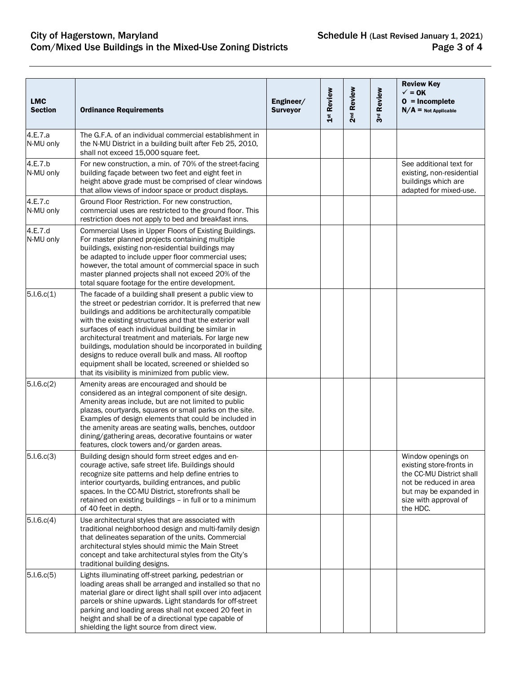| <b>LMC</b><br><b>Section</b> | <b>Ordinance Requirements</b>                                                                                                                                                                                                                                                                                                                                                                                                                                                                                                                                                             | Engineer/<br><b>Surveyor</b> | 1st Review | 2nd Review | 3rd Review | <b>Review Key</b><br>$\sqrt{}=$ OK<br>$0 = Incomplete$<br>$N/A$ = Not Applicable                                                                                    |
|------------------------------|-------------------------------------------------------------------------------------------------------------------------------------------------------------------------------------------------------------------------------------------------------------------------------------------------------------------------------------------------------------------------------------------------------------------------------------------------------------------------------------------------------------------------------------------------------------------------------------------|------------------------------|------------|------------|------------|---------------------------------------------------------------------------------------------------------------------------------------------------------------------|
| 4.E.7.a<br>N-MU only         | The G.F.A. of an individual commercial establishment in<br>the N-MU District in a building built after Feb 25, 2010,<br>shall not exceed 15,000 square feet.                                                                                                                                                                                                                                                                                                                                                                                                                              |                              |            |            |            |                                                                                                                                                                     |
| 4.E.7.b<br>N-MU only         | For new construction, a min. of 70% of the street-facing<br>building façade between two feet and eight feet in<br>height above grade must be comprised of clear windows<br>that allow views of indoor space or product displays.                                                                                                                                                                                                                                                                                                                                                          |                              |            |            |            | See additional text for<br>existing, non-residential<br>buildings which are<br>adapted for mixed-use.                                                               |
| 4.E.7.c<br>N-MU only         | Ground Floor Restriction. For new construction,<br>commercial uses are restricted to the ground floor. This<br>restriction does not apply to bed and breakfast inns.                                                                                                                                                                                                                                                                                                                                                                                                                      |                              |            |            |            |                                                                                                                                                                     |
| 4.E.7.d<br>N-MU only         | Commercial Uses in Upper Floors of Existing Buildings.<br>For master planned projects containing multiple<br>buildings, existing non-residential buildings may<br>be adapted to include upper floor commercial uses;<br>however, the total amount of commercial space in such<br>master planned projects shall not exceed 20% of the<br>total square footage for the entire development.                                                                                                                                                                                                  |                              |            |            |            |                                                                                                                                                                     |
| 5.1.6.c(1)                   | The facade of a building shall present a public view to<br>the street or pedestrian corridor. It is preferred that new<br>buildings and additions be architecturally compatible<br>with the existing structures and that the exterior wall<br>surfaces of each individual building be similar in<br>architectural treatment and materials. For large new<br>buildings, modulation should be incorporated in building<br>designs to reduce overall bulk and mass. All rooftop<br>equipment shall be located, screened or shielded so<br>that its visibility is minimized from public view. |                              |            |            |            |                                                                                                                                                                     |
| 5.1.6.c(2)                   | Amenity areas are encouraged and should be<br>considered as an integral component of site design.<br>Amenity areas include, but are not limited to public<br>plazas, courtyards, squares or small parks on the site.<br>Examples of design elements that could be included in<br>the amenity areas are seating walls, benches, outdoor<br>dining/gathering areas, decorative fountains or water<br>features, clock towers and/or garden areas.                                                                                                                                            |                              |            |            |            |                                                                                                                                                                     |
| 5.1.6.c(3)                   | Building design should form street edges and en-<br>courage active, safe street life. Buildings should<br>recognize site patterns and help define entries to<br>interior courtyards, building entrances, and public<br>spaces. In the CC-MU District, storefronts shall be<br>retained on existing buildings - in full or to a minimum<br>of 40 feet in depth.                                                                                                                                                                                                                            |                              |            |            |            | Window openings on<br>existing store-fronts in<br>the CC-MU District shall<br>not be reduced in area<br>but may be expanded in<br>size with approval of<br>the HDC. |
| 5.1.6.c(4)                   | Use architectural styles that are associated with<br>traditional neighborhood design and multi-family design<br>that delineates separation of the units. Commercial<br>architectural styles should mimic the Main Street<br>concept and take architectural styles from the City's<br>traditional building designs.                                                                                                                                                                                                                                                                        |                              |            |            |            |                                                                                                                                                                     |
| 5.1.6.c(5)                   | Lights illuminating off-street parking, pedestrian or<br>loading areas shall be arranged and installed so that no<br>material glare or direct light shall spill over into adjacent<br>parcels or shine upwards. Light standards for off-street<br>parking and loading areas shall not exceed 20 feet in<br>height and shall be of a directional type capable of<br>shielding the light source from direct view.                                                                                                                                                                           |                              |            |            |            |                                                                                                                                                                     |